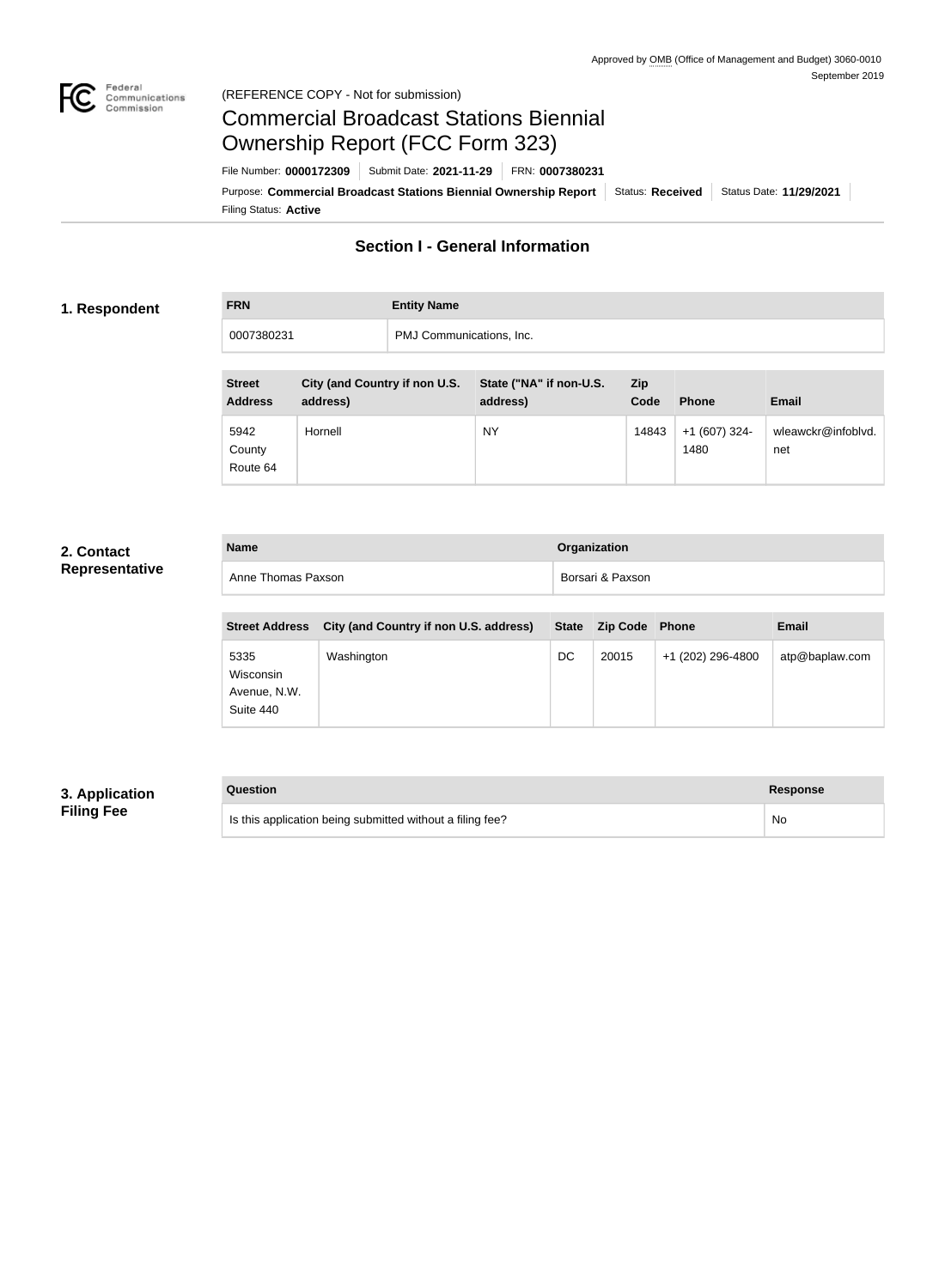

### Federal<br>Communications<br>Commission (REFERENCE COPY - Not for submission)

# Commercial Broadcast Stations Biennial Ownership Report (FCC Form 323)

Filing Status: **Active** Purpose: Commercial Broadcast Stations Biennial Ownership Report Status: Received Status Date: 11/29/2021 File Number: **0000172309** Submit Date: **2021-11-29** FRN: **0007380231**

## **Section I - General Information**

### **1. Respondent**

**FRN Entity Name** 0007380231 PMJ Communications, Inc.

| <b>Street</b><br><b>Address</b> | City (and Country if non U.S.<br>address) | State ("NA" if non-U.S.<br>address) | Zip<br>Code | <b>Phone</b>          | <b>Email</b>              |
|---------------------------------|-------------------------------------------|-------------------------------------|-------------|-----------------------|---------------------------|
| 5942<br>County<br>Route 64      | Hornell                                   | <b>NY</b>                           | 14843       | +1 (607) 324-<br>1480 | wleawckr@infoblvd.<br>net |

### **2. Contact Representative**

| <b>Name</b>        | Organization     |
|--------------------|------------------|
| Anne Thomas Paxson | Borsari & Paxson |

| <b>Street Address</b>                          | City (and Country if non U.S. address) |    | State Zip Code Phone |                   | <b>Email</b>   |
|------------------------------------------------|----------------------------------------|----|----------------------|-------------------|----------------|
| 5335<br>Wisconsin<br>Avenue, N.W.<br>Suite 440 | Washington                             | DC | 20015                | +1 (202) 296-4800 | atp@baplaw.com |

### **3. Application Filing Fee**

| Question                                                  | Response |
|-----------------------------------------------------------|----------|
| Is this application being submitted without a filing fee? | No       |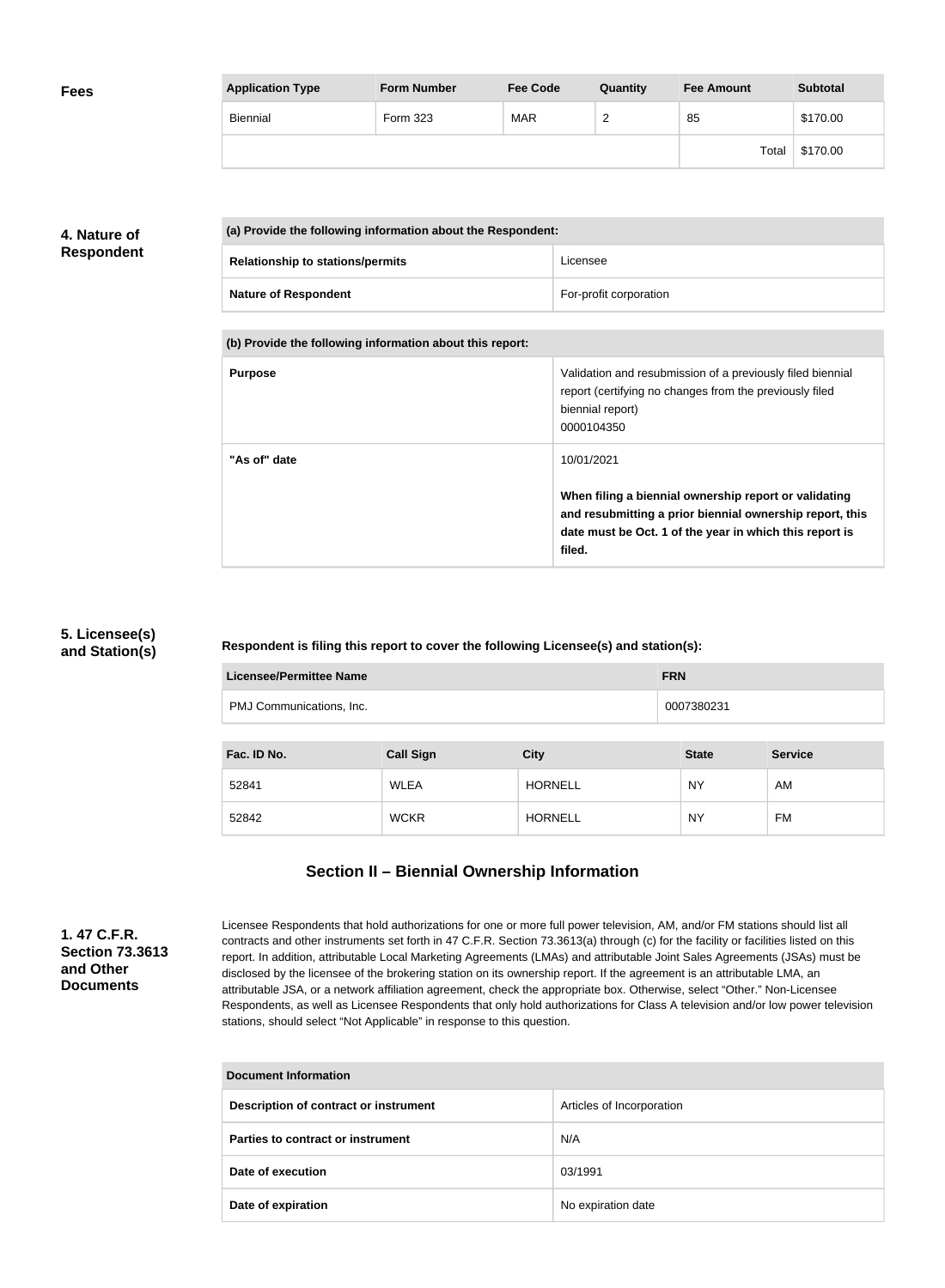| <b>Fees</b> | <b>Application Type</b> | <b>Form Number</b> | <b>Fee Code</b> | Quantity | <b>Fee Amount</b> | <b>Subtotal</b> |
|-------------|-------------------------|--------------------|-----------------|----------|-------------------|-----------------|
|             | Biennial                | Form 323           | <b>MAR</b>      | r<br>-   | 85                | \$170.00        |
|             |                         |                    |                 |          | Total             | \$170.00        |

## **4. Nature of Respondent**

| (a) Provide the following information about the Respondent: |                        |  |
|-------------------------------------------------------------|------------------------|--|
| <b>Relationship to stations/permits</b>                     | Licensee               |  |
| <b>Nature of Respondent</b>                                 | For-profit corporation |  |

**(b) Provide the following information about this report:**

| <b>Purpose</b> | Validation and resubmission of a previously filed biennial<br>report (certifying no changes from the previously filed<br>biennial report)<br>0000104350                                |
|----------------|----------------------------------------------------------------------------------------------------------------------------------------------------------------------------------------|
| "As of" date   | 10/01/2021                                                                                                                                                                             |
|                | When filing a biennial ownership report or validating<br>and resubmitting a prior biennial ownership report, this<br>date must be Oct. 1 of the year in which this report is<br>filed. |

### **5. Licensee(s) and Station(s)**

**Respondent is filing this report to cover the following Licensee(s) and station(s):**

| Licensee/Permittee Name<br><b>FRN</b>  |                  |                |              |                |
|----------------------------------------|------------------|----------------|--------------|----------------|
| PMJ Communications, Inc.<br>0007380231 |                  |                |              |                |
|                                        |                  |                |              |                |
| Fac. ID No.                            | <b>Call Sign</b> | <b>City</b>    | <b>State</b> | <b>Service</b> |
| 52841                                  | <b>WLEA</b>      | <b>HORNELL</b> | <b>NY</b>    | AM             |
| 52842                                  | <b>WCKR</b>      | <b>HORNELL</b> | <b>NY</b>    | FM             |

## **Section II – Biennial Ownership Information**

**1. 47 C.F.R. Section 73.3613 and Other Documents**

Licensee Respondents that hold authorizations for one or more full power television, AM, and/or FM stations should list all contracts and other instruments set forth in 47 C.F.R. Section 73.3613(a) through (c) for the facility or facilities listed on this report. In addition, attributable Local Marketing Agreements (LMAs) and attributable Joint Sales Agreements (JSAs) must be disclosed by the licensee of the brokering station on its ownership report. If the agreement is an attributable LMA, an attributable JSA, or a network affiliation agreement, check the appropriate box. Otherwise, select "Other." Non-Licensee Respondents, as well as Licensee Respondents that only hold authorizations for Class A television and/or low power television stations, should select "Not Applicable" in response to this question.

| <b>Document Information</b>           |                           |  |
|---------------------------------------|---------------------------|--|
| Description of contract or instrument | Articles of Incorporation |  |
| Parties to contract or instrument     | N/A                       |  |
| Date of execution                     | 03/1991                   |  |
| Date of expiration                    | No expiration date        |  |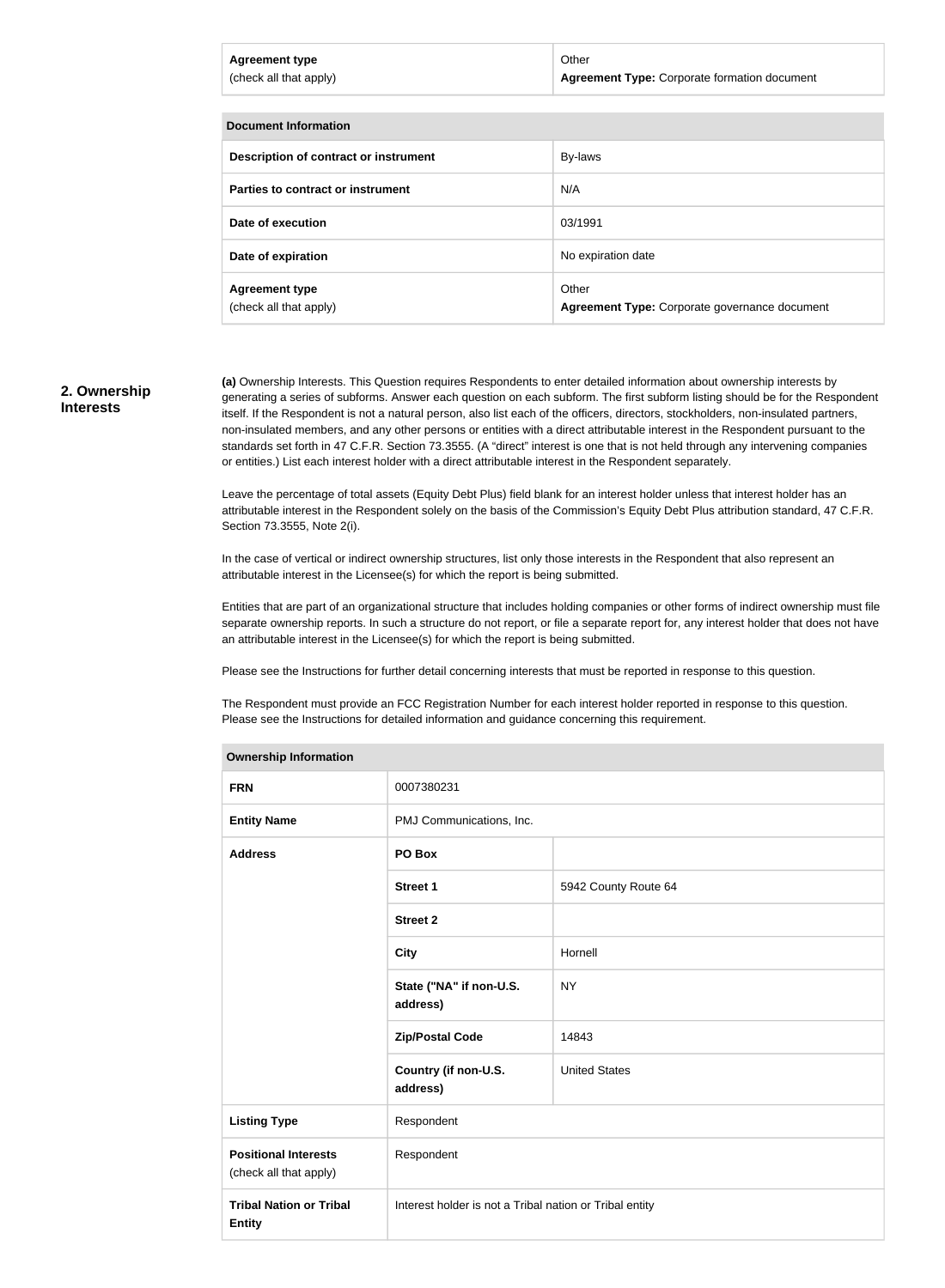| <b>Agreement type</b><br>(check all that apply) | Other<br><b>Agreement Type: Corporate formation document</b> |
|-------------------------------------------------|--------------------------------------------------------------|
| <b>Document Information</b>                     |                                                              |
| Description of contract or instrument           | <b>By-laws</b>                                               |

| <b>Description of contract or instrument</b>    | By-laws                                                |
|-------------------------------------------------|--------------------------------------------------------|
| Parties to contract or instrument               | N/A                                                    |
| Date of execution                               | 03/1991                                                |
| Date of expiration                              | No expiration date                                     |
| <b>Agreement type</b><br>(check all that apply) | Other<br>Agreement Type: Corporate governance document |

#### **2. Ownership Interests**

**(a)** Ownership Interests. This Question requires Respondents to enter detailed information about ownership interests by generating a series of subforms. Answer each question on each subform. The first subform listing should be for the Respondent itself. If the Respondent is not a natural person, also list each of the officers, directors, stockholders, non-insulated partners, non-insulated members, and any other persons or entities with a direct attributable interest in the Respondent pursuant to the standards set forth in 47 C.F.R. Section 73.3555. (A "direct" interest is one that is not held through any intervening companies or entities.) List each interest holder with a direct attributable interest in the Respondent separately.

Leave the percentage of total assets (Equity Debt Plus) field blank for an interest holder unless that interest holder has an attributable interest in the Respondent solely on the basis of the Commission's Equity Debt Plus attribution standard, 47 C.F.R. Section 73.3555, Note 2(i).

In the case of vertical or indirect ownership structures, list only those interests in the Respondent that also represent an attributable interest in the Licensee(s) for which the report is being submitted.

Entities that are part of an organizational structure that includes holding companies or other forms of indirect ownership must file separate ownership reports. In such a structure do not report, or file a separate report for, any interest holder that does not have an attributable interest in the Licensee(s) for which the report is being submitted.

Please see the Instructions for further detail concerning interests that must be reported in response to this question.

The Respondent must provide an FCC Registration Number for each interest holder reported in response to this question. Please see the Instructions for detailed information and guidance concerning this requirement.

| <b>Ownership Information</b>                          |                                                         |                      |  |
|-------------------------------------------------------|---------------------------------------------------------|----------------------|--|
| <b>FRN</b>                                            | 0007380231                                              |                      |  |
| <b>Entity Name</b>                                    | PMJ Communications, Inc.                                |                      |  |
| <b>Address</b>                                        | PO Box                                                  |                      |  |
|                                                       | <b>Street 1</b>                                         | 5942 County Route 64 |  |
|                                                       | <b>Street 2</b>                                         |                      |  |
|                                                       | <b>City</b>                                             | Hornell              |  |
|                                                       | State ("NA" if non-U.S.<br>address)                     | <b>NY</b>            |  |
|                                                       | <b>Zip/Postal Code</b>                                  | 14843                |  |
|                                                       | Country (if non-U.S.<br>address)                        | <b>United States</b> |  |
| <b>Listing Type</b>                                   | Respondent                                              |                      |  |
| <b>Positional Interests</b><br>(check all that apply) | Respondent                                              |                      |  |
| <b>Tribal Nation or Tribal</b><br><b>Entity</b>       | Interest holder is not a Tribal nation or Tribal entity |                      |  |
|                                                       |                                                         |                      |  |

#### **Ownership Information**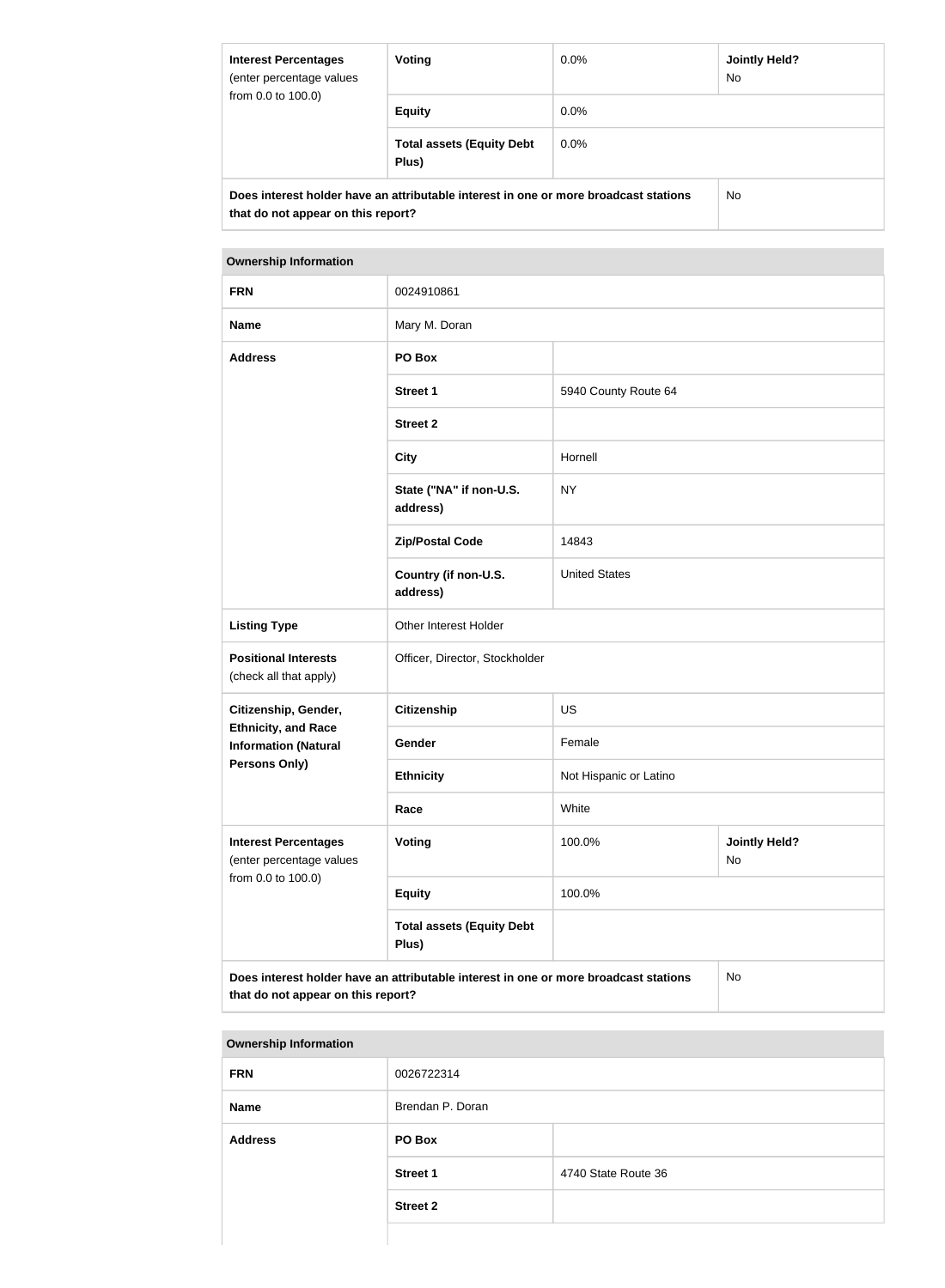| <b>Interest Percentages</b><br>(enter percentage values<br>from 0.0 to 100.0)                                              | <b>Voting</b>                             | $0.0\%$ | <b>Jointly Held?</b><br>No. |
|----------------------------------------------------------------------------------------------------------------------------|-------------------------------------------|---------|-----------------------------|
|                                                                                                                            | <b>Equity</b>                             | $0.0\%$ |                             |
|                                                                                                                            | <b>Total assets (Equity Debt</b><br>Plus) | $0.0\%$ |                             |
| Does interest holder have an attributable interest in one or more broadcast stations<br>that do not appear on this report? |                                           | No.     |                             |

### **Ownership Information**

| <b>FRN</b>                                                                                                                              | 0024910861                                |                        |                            |
|-----------------------------------------------------------------------------------------------------------------------------------------|-------------------------------------------|------------------------|----------------------------|
| <b>Name</b>                                                                                                                             | Mary M. Doran                             |                        |                            |
| <b>Address</b>                                                                                                                          | PO Box                                    |                        |                            |
|                                                                                                                                         | <b>Street 1</b>                           | 5940 County Route 64   |                            |
|                                                                                                                                         | <b>Street 2</b>                           |                        |                            |
|                                                                                                                                         | <b>City</b>                               | Hornell                |                            |
|                                                                                                                                         | State ("NA" if non-U.S.<br>address)       | <b>NY</b>              |                            |
|                                                                                                                                         | <b>Zip/Postal Code</b>                    | 14843                  |                            |
|                                                                                                                                         | Country (if non-U.S.<br>address)          | <b>United States</b>   |                            |
| <b>Listing Type</b>                                                                                                                     | Other Interest Holder                     |                        |                            |
| <b>Positional Interests</b><br>(check all that apply)                                                                                   | Officer, Director, Stockholder            |                        |                            |
| Citizenship, Gender,                                                                                                                    | <b>Citizenship</b>                        | <b>US</b>              |                            |
| <b>Ethnicity, and Race</b><br><b>Information (Natural</b>                                                                               | Gender                                    | Female                 |                            |
| <b>Persons Only)</b>                                                                                                                    | <b>Ethnicity</b>                          | Not Hispanic or Latino |                            |
|                                                                                                                                         | Race                                      | White                  |                            |
| <b>Interest Percentages</b><br>(enter percentage values                                                                                 | <b>Voting</b>                             | 100.0%                 | <b>Jointly Held?</b><br>No |
| from 0.0 to 100.0)                                                                                                                      | <b>Equity</b>                             | 100.0%                 |                            |
|                                                                                                                                         | <b>Total assets (Equity Debt</b><br>Plus) |                        |                            |
| Does interest holder have an attributable interest in one or more broadcast stations<br><b>No</b><br>that do not appear on this report? |                                           |                        |                            |

| <b>Ownership Information</b> |                  |                     |
|------------------------------|------------------|---------------------|
| <b>FRN</b>                   | 0026722314       |                     |
| <b>Name</b>                  | Brendan P. Doran |                     |
| <b>Address</b>               | PO Box           |                     |
|                              | <b>Street 1</b>  | 4740 State Route 36 |
|                              | <b>Street 2</b>  |                     |
|                              |                  |                     |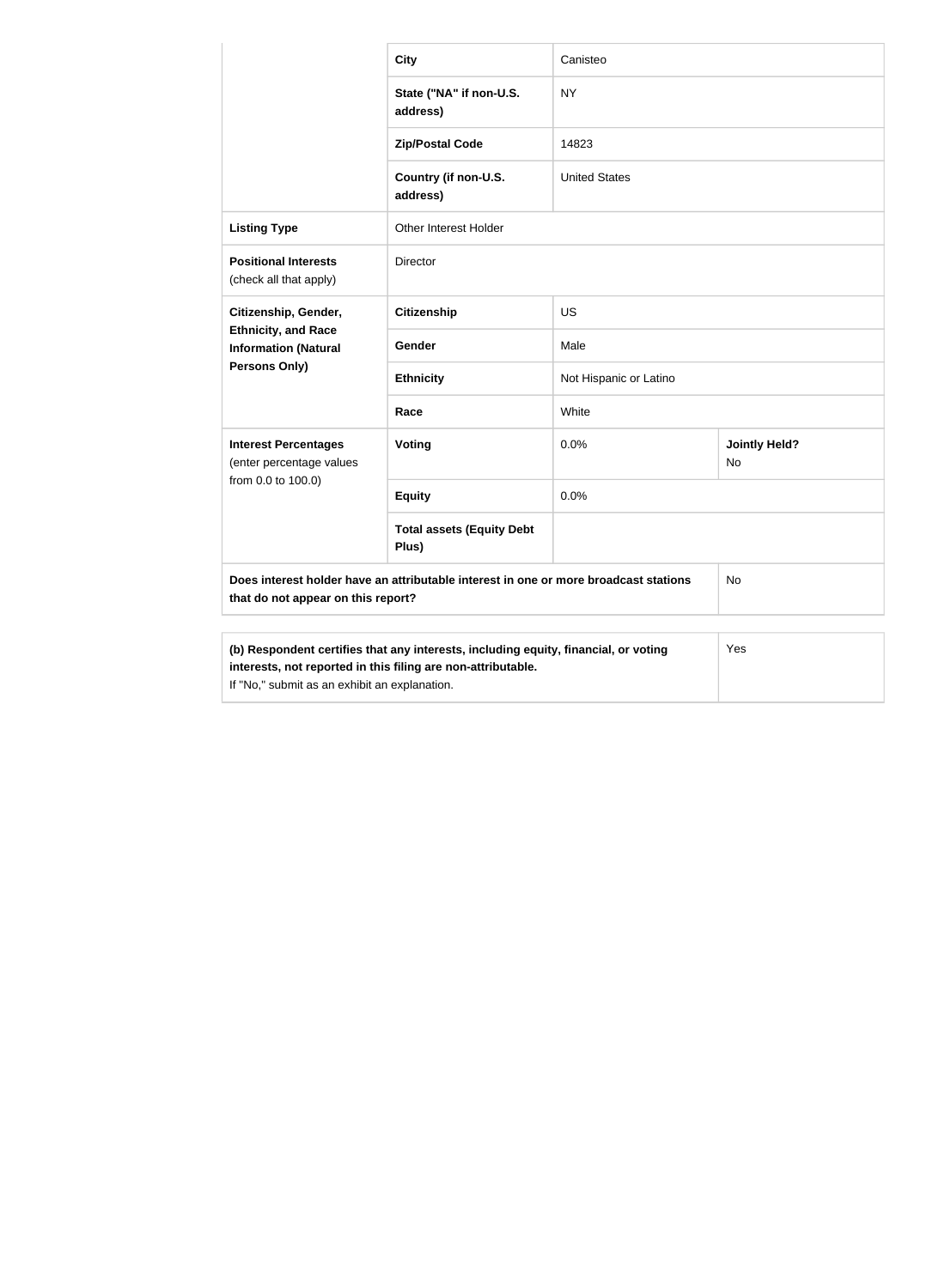|                                                                                                                                                                                                      | <b>City</b>                               | Canisteo               |                            |
|------------------------------------------------------------------------------------------------------------------------------------------------------------------------------------------------------|-------------------------------------------|------------------------|----------------------------|
|                                                                                                                                                                                                      | State ("NA" if non-U.S.<br>address)       | <b>NY</b>              |                            |
|                                                                                                                                                                                                      | <b>Zip/Postal Code</b>                    | 14823                  |                            |
|                                                                                                                                                                                                      | Country (if non-U.S.<br>address)          | <b>United States</b>   |                            |
| <b>Listing Type</b>                                                                                                                                                                                  | Other Interest Holder                     |                        |                            |
| <b>Positional Interests</b><br>(check all that apply)                                                                                                                                                | <b>Director</b>                           |                        |                            |
| Citizenship, Gender,                                                                                                                                                                                 | <b>Citizenship</b>                        | <b>US</b>              |                            |
| <b>Ethnicity, and Race</b><br><b>Information (Natural</b>                                                                                                                                            | Gender                                    | Male                   |                            |
| <b>Persons Only)</b>                                                                                                                                                                                 | <b>Ethnicity</b>                          | Not Hispanic or Latino |                            |
|                                                                                                                                                                                                      | Race                                      | White                  |                            |
| <b>Interest Percentages</b><br>(enter percentage values                                                                                                                                              | Voting                                    | 0.0%                   | <b>Jointly Held?</b><br>No |
| from 0.0 to 100.0)                                                                                                                                                                                   | <b>Equity</b>                             | 0.0%                   |                            |
|                                                                                                                                                                                                      | <b>Total assets (Equity Debt</b><br>Plus) |                        |                            |
| Does interest holder have an attributable interest in one or more broadcast stations<br>No<br>that do not appear on this report?                                                                     |                                           |                        |                            |
| (b) Respondent certifies that any interests, including equity, financial, or voting<br>interests, not reported in this filing are non-attributable.<br>If "No," submit as an exhibit an explanation. |                                           |                        | Yes                        |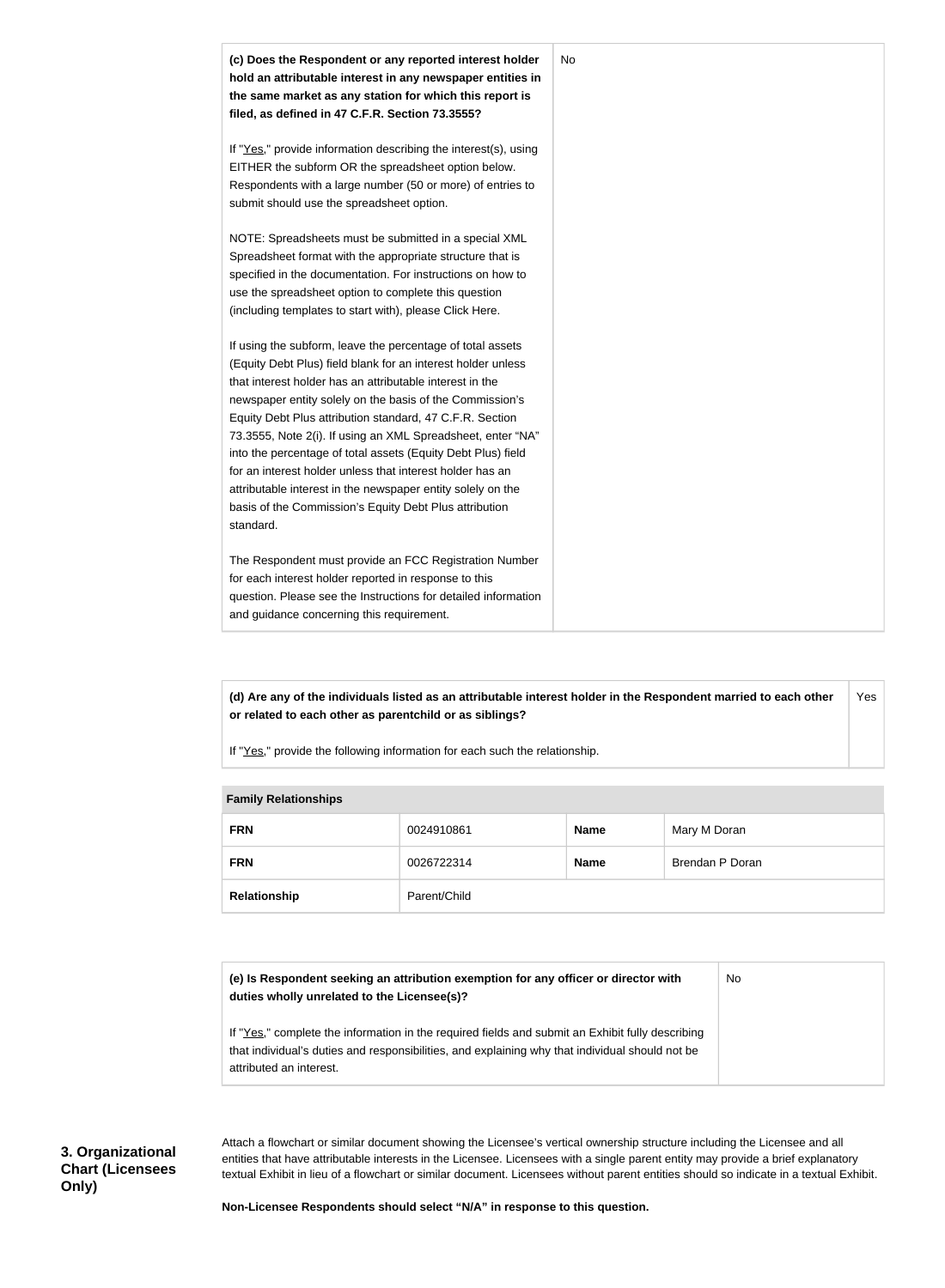

**(d) Are any of the individuals listed as an attributable interest holder in the Respondent married to each other or related to each other as parentchild or as siblings?** Yes

If "Yes," provide the following information for each such the relationship.

## **Family Relationships**

| <b>FRN</b>   | 0024910861   | <b>Name</b> | Mary M Doran    |
|--------------|--------------|-------------|-----------------|
| <b>FRN</b>   | 0026722314   | <b>Name</b> | Brendan P Doran |
| Relationship | Parent/Child |             |                 |

| (e) Is Respondent seeking an attribution exemption for any officer or director with<br>duties wholly unrelated to the Licensee(s)?                                                                                             | No |
|--------------------------------------------------------------------------------------------------------------------------------------------------------------------------------------------------------------------------------|----|
| If "Yes," complete the information in the required fields and submit an Exhibit fully describing<br>that individual's duties and responsibilities, and explaining why that individual should not be<br>attributed an interest. |    |

Attach a flowchart or similar document showing the Licensee's vertical ownership structure including the Licensee and all entities that have attributable interests in the Licensee. Licensees with a single parent entity may provide a brief explanatory textual Exhibit in lieu of a flowchart or similar document. Licensees without parent entities should so indicate in a textual Exhibit.

**Non-Licensee Respondents should select "N/A" in response to this question.**